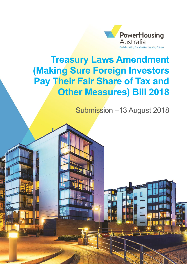

# **Treasury Laws Amendment (Making Sure Foreign Investors Pay Their Fair Share of Tax and Other Measures) Bill 2018**

Submission –13 August 2018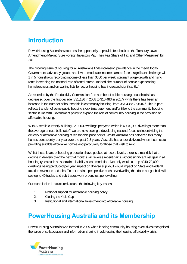## **Introduction**

PowerHousing Australia welcomes the opportunity to provide feedback on the Treasury Laws Amendment (Making Sure Foreign Investors Pay Their Fair Share of Tax and Other Measures) Bill 2018.

The growing issue of housing for all Australians finds increasing prevalence in the media today. Government, advocacy groups and low-to-moderate income earners face a significant challenge with 1 in 5 households recording income of less than \$650 per week, stagnant wage growth and rising rents increasing the national rate of rental stress.<sup>i</sup> Indeed, the number of people experiencing homelessness and on waiting lists for social housing has increased significantly.<sup>ii</sup>

As recorded by the Productivity Commission, 'the number of public housing households has decreased over the last decade (331,136 in 2008 to 310,483 in 2017), while there has been an increase in the number of households in community housing, from 35,043 to 75,634'.<sup>iii</sup> This in part reflects transfer of some public housing stock (management and/or title) to the community housing sector in line with Government policy to expand the role of community housing in the provision of affordable housing.

With Australia currently building 221,000 dwellings per year, which is 60-70,000 dwellings more than the average annual build rate,<sup>iv</sup> we are now seeing a developing national focus on incentivising the delivery of affordable housing at reasonable price points. Whilst Australia has delivered this many homes consistently per year over the past 2-3 years, Australia has under-delivered when it comes to providing suitable affordable homes and particularly for those that wish to rent.

Whilst these levels of housing production have peaked at record levels, there is a real risk that a decline in delivery over the next 24 months will reverse recent gains without significant net gain in all housing types such as specialist disability accommodation. Not only would a drop of 40-70,000 dwellings being produced per year impact on diverse supply, it would impact on State and Federal taxation revenues and jobs. To put this into perspective each new dwelling that does not get built will see up to 40 trades and sub-trades work orders lost per dwelling.

Our submission is structured around the following key issues:

- 1. National support for affordable housing policy
- 2. Closing the Yield Gap
- 3. Institutional and international Investment into affordable housing

## **PowerHousing Australia and its Membership**

PowerHousing Australia was formed in 2005 when leading community housing executives recognised the value of collaboration and information-sharing in addressing the housing affordability crisis.

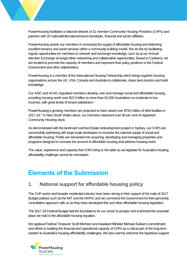PowerHousing facilitates a national network of 31 member Community Housing Providers (CHPs) and partners with 20 national/international brand developer, financial and sector affiliates.

PowerHousing assists our members in increasing the supply of affordable housing and delivering excellent tenancy and asset services within a community building model. We do this by facilitating regular opportunities for members to network and exchange knowledge, such as at our Annual Member Exchange amongst other networking and collaborative opportunities. Based in Canberra, we are located to promote the capacity of members and represent their policy positions to the Federal Government and other stakeholders.

PowerHousing is a member of the International Housing Partnership which brings together housing organisations across the UK, USA, Canada and Australia to collaborate, share best practice and build knowledge.

Our ASIC and ACNC-regulated members develop, own and manage social and affordable housing, providing housing worth over \$15.9 billion to more than 82,000 Australians on moderate to low incomes, with great levels of tenant satisfaction.<sup>v</sup>

PowerHousing's growing members are projected to have raised over \$700 million of debt facilities in 2017-18.vi In New South Wales alone, our members represent over 80 per cent of registered Community Housing stock.

As demonstrated with the landmark Ivanhoe Estate redevelopment project in Sydney, our CHPs are successfully partnering with large-scale developers to increase the national supply of social and affordable housing. Profits are reinvested into acquiring, developing and managing properties and programs designed to increase the amount of affordable housing and address housing need.

The value, experience and capacity that CHPs bring to the table as we legislate for Australia's housing affordability challenge cannot be overstated.

## **Elements of the Submission**

#### **1. National support for affordable housing policy**

The CHP sector and broader residential industry have been strong in their support of the suite of 2017 Budget policies such as the MIT and the NHFIC and we commend the Government for their genuinely consultative approach with us as they have developed this and other affordable housing legislation.

The 2017-18 Federal Budget laid the foundations for our sector to prosper and enshrined the essential place we hold in the affordable housing equation.

We applaud Federal Treasurer Scott Morrison and Assistant Minister Michael Sukkar's commitment and efforts to building the financial and operational capacity of CHPs as a critical part of the long-term solution to Australia's housing affordability challenges. We also warmly welcome the bipartisan support

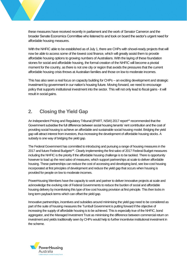these measures have received recently in parliament and the work of Senator Cameron and the broader Senate Economics Committee who listened to and took on board the sector's urgent need for affordable housing measures.

With the NHFIC able to be established as of July 1, there are CHPs with shovel-ready projects that will now be able to access some of the lowest cost finance, which will greatly assist them to provide affordable housing options to growing numbers of Australians. With the laying of these foundation stones for social and affordable housing, the formal creation of the NHFIC will become a pivotal moment for the country, as there is not one city or region that avoids the pressures that the current affordable housing crisis throws at Australian families and those on low to moderate incomes.

This has also seen a real focus on capacity building for CHPs – an exciting development and strategic investment by government in our nation's housing future. Moving forward, we need to encourage policy that supports institutional investment into the sector. This will not only lead to fiscal gains - it will result in social gains.

### **2. Closing the Yield Gap**

An Independent Pricing and Regulatory Tribunal (IPART, NSW) 2017 reportvii recommended that the Government subsidise the full difference between social housing tenants' rent contribution and the cost of providing social housing to achieve an affordable and sustainable social housing model. Bridging the yield gap will attract interest from investors, thus increasing the development of affordable housing stocks. A subsidy is one way of bridging the yield gap.

The Federal Government has committed to introducing and pursuing a range of housing measures in the 2017 and future Federal Budgetsviii. Clearly implementing the first salvo of 2017 Federal Budget measures including the NHFIC is the priority if the affordable housing challenge is to be tackled. There is opportunity however to load up the next salvo of measures, which support partnerships at scale to deliver affordable housing. These partnerships can reduce the cost of accessing and developing land, see low-cost housing incorporated at first principles of development and reduce the yield gap that occurs when housing is provided for people on low to moderate incomes.

PowerHousing Members have the capacity to work and partner to deliver innovative projects at scale and acknowledge the evolving role of Federal Governments to reduce the burden of social and affordable housing delivery by incentivising this type of low cost housing provision at first principle. This then locks in long term payback terms which can offset the yield gap.

Innovative partnerships, incentives and subsidies around minimising the yield gap need to be considered as part of the suite of housing measures the Turnbull Government is putting forward if the objective of increasing the supply of affordable housing is to be achieved. This is especially true of the NHFIC, bond aggregator, and the Managed Investment Trust as minimising the difference between commercial return on investment and yields traditionally seen by CHPs would help to further incentivise institutional investment in the scheme.

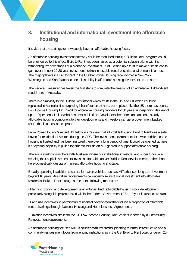#### **3. Institutional and international investment into affordable housing**

It is vital that the settings for new supply have an affordable housing focus.

An affordable housing investment pathway could be mobilised through 'Build to Rent' program could be engineered to this effect. Build to Rent has been raised as a potential solution, along with the withholding tax advantages of a Managed Investment Trust. Setting up a trust to make a stable capital gain over the next 10-20 year investment horizon in a stable rental price rise environment is a must. The major players in Build to Rent in the US that PowerHousing recently met in New York, Washington and San Francisco see this stability in affordable housing investment as the norm.

The Federal Treasurer has taken the first steps to stimulate the creation of an affordable Build-to-Rent model here in Australia.

There is a simplicity to the Build to Rent model which exists in the US and UK which could be replicated in Australia. It is surprising it hasn't taken off here, but in places like the US there has been a Low Income Housing Tax Credit for affordable housing providers for 30 years, underpinning delivery of up to 10 per cent of all new homes across this time. Developers therefore can bank on a steady affordable housing component to their developments and investors can get a government backed return that is almost shock proof.

From PowerHousing's recent US field visits it's clear that affordable housing Build to Rent was a safe haven for residential investors during the GFC. The investment environment for low to middle income housing is trusted and has been nurtured there over a long period of time. It could be opened up here if a 'layering' of policy is pulled together to include an MIT geared to support affordable housing.

There is a stark contrast here with Australia, where our institutional investors, and super funds, are sending their capital overseas to invest in affordable and/or Build to Rent developments, rather than here domestically despite a manifest affordable housing shortage.

Broadly speaking in addition to capital formation vehicles such as MITs that see long term investment beyond 10 years, Australian Governments can incentivise institutional investment into affordable residential Build to Rent through some of the following measures:

• Planning, zoning and development uplift with fast track affordable housing stock development particularly alongside projects listed within the Federal Government \$75b, 10 year infrastructure plan;

• Land use incentives to permit multi residential development that include a proportion of affordable rental dwellings through National Housing and Homelessness Agreements.

• Taxation incentives similar to the US Low Income Housing Tax Credit, supported by a Community Reinvestment requirement;.

An affordable housing focused MIT, if coupled with tax credits, planning reforms, infrastructure and a community reinvestment focus from lending institutions as in the US, Build to Rent could underpin 20-

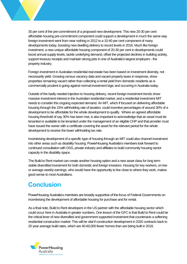30 per cent of the pre-commitment of a proposed new development. This new 20-30 per cent affordable housing pre-commitment component could support a development in much the same way foreign investment went from near nothing in 2012 to a 10-40 per cent component of many developments today, boosting new dwelling delivery to record levels in 2016. Much like foreign investment, a new unique affordable housing component of 20-30 per cent in developments could boost annual supply levels, tackle underlying demand, offset the projected declines in building activity, support treasury receipts and maintain strong jobs in one of Australia's largest employers - the property industry.

Foreign investment in Australian residential real estate has been based on investment diversity, not necessarily yield. Growing census vacancy data and vacant property taxes in response, show properties remaining vacant rather than collecting a rental yield from domestic residents as is commercially prudent is going against normal investment logic and occurring in Australia today.

Outside of the badly needed injection to housing delivery, recent foreign investment trends show massive investment interest in the Australian residential market, and a residential investment MIT needs to consider this ongoing expected demand. An MIT, which if focused on delivering affordable housing through the 15% withholding rate of taxation, could incentive percentages of around 30% of a development to be affordable for the whole development to qualify. Where an agreed affordable housing threshold of say 30% has been met, is also important to acknowledge that an asset must be tenanted or available to be tenanted under the management of an eligible CHP and that provider must have issued the owner with a certificate covering the asset for the relevant period for the whole development to receive the lower withholding tax rate.

Incentivising development of a specific type of housing through an MIT could also channel investment into other areas such as disability housing. PowerHousing Australia's members look forward to continued consultation with DSS, private industry and affiliates to build community housing sector capacity in the disability space.

The Build to Rent market can create another housing option and a new asset class for long term stable diversified investment for both domestic and foreign investors. Housing for key workers, on low or average weekly earnings, who would have the opportunity to live close to where they work, makes good sense to most Australians.

## **Conclusion**

PowerHousing Australia's members are broadly supportive of the focus of Federal Governments on incentivising the development of affordable housing for purchase and for rental.

As a final note, Build to Rent developers in the US partner with the affordable housing sector which could occur here in Australia in greater numbers. One lesson of the GFC is that Build to Rent could be the critical lever of new diversified and government supported investment that counteracts a softening residential construction market. This will be vital if construction development in 2020 contracts back to 20 year average build rates, which are 40-60,000 fewer homes than are being built in 2018.